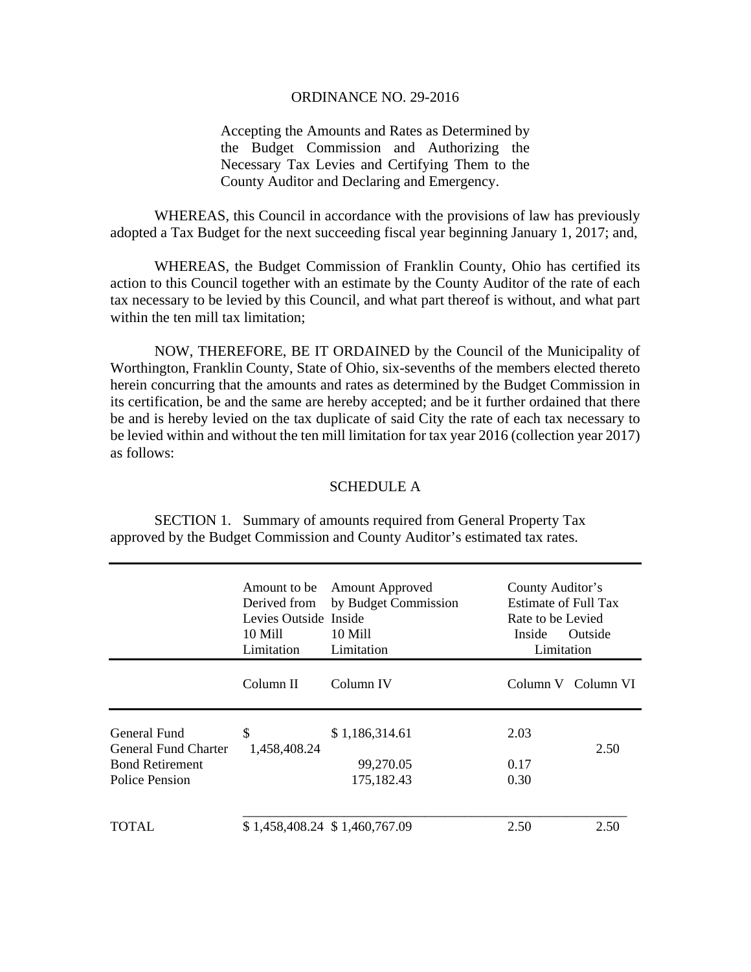## ORDINANCE NO. 29-2016

Accepting the Amounts and Rates as Determined by the Budget Commission and Authorizing the Necessary Tax Levies and Certifying Them to the County Auditor and Declaring and Emergency.

 WHEREAS, this Council in accordance with the provisions of law has previously adopted a Tax Budget for the next succeeding fiscal year beginning January 1, 2017; and,

 WHEREAS, the Budget Commission of Franklin County, Ohio has certified its action to this Council together with an estimate by the County Auditor of the rate of each tax necessary to be levied by this Council, and what part thereof is without, and what part within the ten mill tax limitation;

 NOW, THEREFORE, BE IT ORDAINED by the Council of the Municipality of Worthington, Franklin County, State of Ohio, six-sevenths of the members elected thereto herein concurring that the amounts and rates as determined by the Budget Commission in its certification, be and the same are hereby accepted; and be it further ordained that there be and is hereby levied on the tax duplicate of said City the rate of each tax necessary to be levied within and without the ten mill limitation for tax year 2016 (collection year 2017) as follows:

## SCHEDULE A

 SECTION 1. Summary of amounts required from General Property Tax approved by the Budget Commission and County Auditor's estimated tax rates.

|                                                                                  | Amount to be<br>Derived from<br>Levies Outside Inside<br>10 Mill<br>Limitation | <b>Amount Approved</b><br>by Budget Commission<br>10 Mill<br>Limitation | Inside               | County Auditor's<br>Estimate of Full Tax<br>Rate to be Levied<br>Outside<br>Limitation |  |
|----------------------------------------------------------------------------------|--------------------------------------------------------------------------------|-------------------------------------------------------------------------|----------------------|----------------------------------------------------------------------------------------|--|
|                                                                                  | Column II                                                                      | Column IV                                                               |                      | Column V Column VI                                                                     |  |
| General Fund<br>General Fund Charter<br><b>Bond Retirement</b><br>Police Pension | \$<br>1,458,408.24                                                             | \$1,186,314.61<br>99,270.05<br>175,182.43                               | 2.03<br>0.17<br>0.30 | 2.50                                                                                   |  |
| TOTAL.                                                                           |                                                                                | \$1,458,408.24 \$1,460,767.09                                           | 2.50                 | 2.50                                                                                   |  |